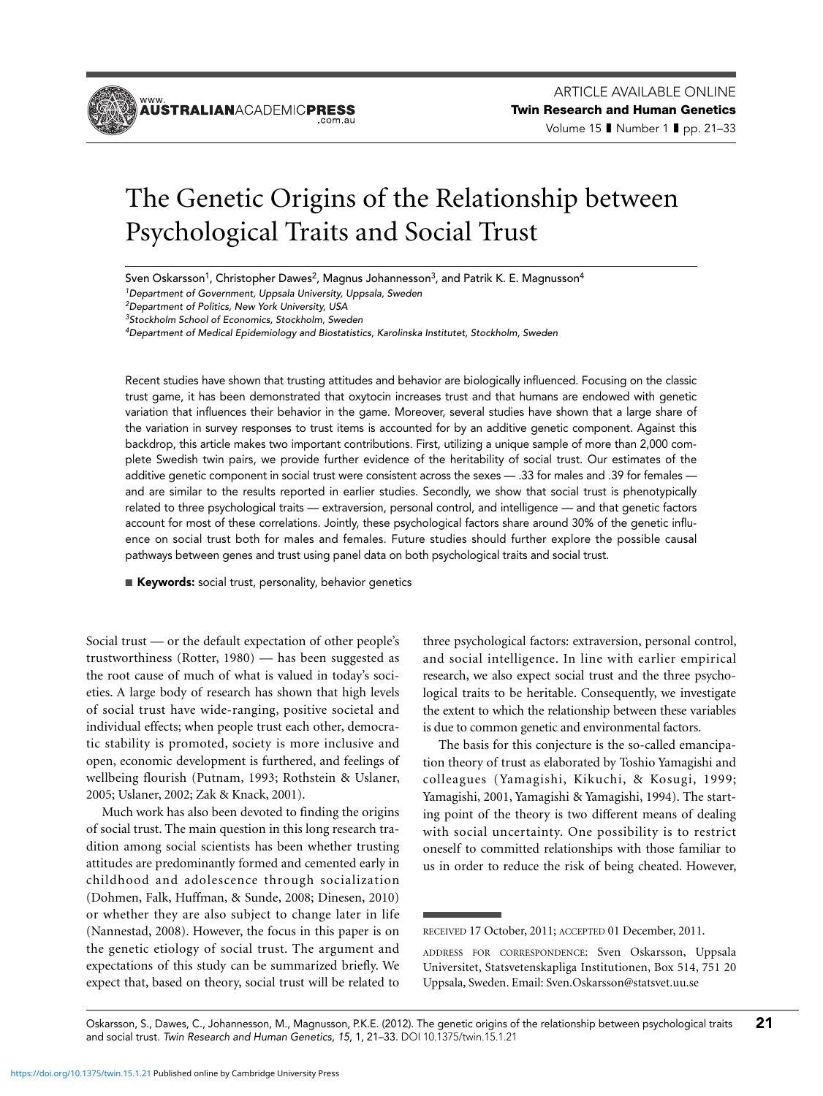

**ÄÜSTRALIAN**ACADEMIC**PRESS** 

# The Genetic Origins of the Relationship between Psychological Traits and Social Trust

Sven Oskarsson<sup>1</sup>, Christopher Dawes<sup>2</sup>, Magnus Johannesson<sup>3</sup>, and Patrik K. E. Magnusson<sup>4</sup>

<sup>1</sup>Department of Government, Uppsala University, Uppsala, Sweden

<sup>2</sup>Department of Politics, New York University, USA

<sup>3</sup>Stockholm School of Economics, Stockholm, Sweden

<sup>4</sup>Department of Medical Epidemiology and Biostatistics, Karolinska Institutet, Stockholm, Sweden

Recent studies have shown that trusting attitudes and behavior are biologically influenced. Focusing on the classic trust game, it has been demonstrated that oxytocin increases trust and that humans are endowed with genetic variation that influences their behavior in the game. Moreover, several studies have shown that a large share of the variation in survey responses to trust items is accounted for by an additive genetic component. Against this backdrop, this article makes two important contributions. First, utilizing a unique sample of more than 2,000 complete Swedish twin pairs, we provide further evidence of the heritability of social trust. Our estimates of the additive genetic component in social trust were consistent across the sexes — .33 for males and .39 for females and are similar to the results reported in earlier studies. Secondly, we show that social trust is phenotypically related to three psychological traits — extraversion, personal control, and intelligence — and that genetic factors account for most of these correlations. Jointly, these psychological factors share around 30% of the genetic influence on social trust both for males and females. Future studies should further explore the possible causal pathways between genes and trust using panel data on both psychological traits and social trust.

■ Keywords: social trust, personality, behavior genetics

Social trust — or the default expectation of other people's trustworthiness (Rotter, 1980) — has been suggested as the root cause of much of what is valued in today's societies. A large body of research has shown that high levels of social trust have wide-ranging, positive societal and individual effects; when people trust each other, democratic stability is promoted, society is more inclusive and open, economic development is furthered, and feelings of wellbeing flourish (Putnam, 1993; Rothstein & Uslaner, 2005; Uslaner, 2002; Zak & Knack, 2001).

Much work has also been devoted to finding the origins of social trust. The main question in this long research tradition among social scientists has been whether trusting attitudes are predominantly formed and cemented early in childhood and adolescence through socialization (Dohmen, Falk, Huffman, & Sunde, 2008; Dinesen, 2010) or whether they are also subject to change later in life (Nannestad, 2008). However, the focus in this paper is on the genetic etiology of social trust. The argument and expectations of this study can be summarized briefly. We expect that, based on theory, social trust will be related to

three psychological factors: extraversion, personal control, and social intelligence. In line with earlier empirical research, we also expect social trust and the three psychological traits to be heritable. Consequently, we investigate the extent to which the relationship between these variables is due to common genetic and environmental factors.

The basis for this conjecture is the so-called emancipation theory of trust as elaborated by Toshio Yamagishi and colleagues (Yamagishi, Kikuchi, & Kosugi, 1999; Yamagishi, 2001, Yamagishi & Yamagishi, 1994). The starting point of the theory is two different means of dealing with social uncertainty. One possibility is to restrict oneself to committed relationships with those familiar to us in order to reduce the risk of being cheated. However,

Oskarsson, S., Dawes, C., Johannesson, M., Magnusson, P.K.E. (2012). The genetic origins of the relationship between psychological traits 21 and social trust. Twin Research and Human Genetics, 15, 1, 21–33. DOI 10.1375/twin.15.1.21

RECEIVED 17 October, 2011; ACCEPTED 01 December, 2011.

ADDRESS FOR CORRESPONDENCE: Sven Oskarsson, Uppsala Universitet, Statsvetenskapliga Institutionen, Box 514, 751 20 Uppsala, Sweden. Email: Sven.Oskarsson@statsvet.uu.se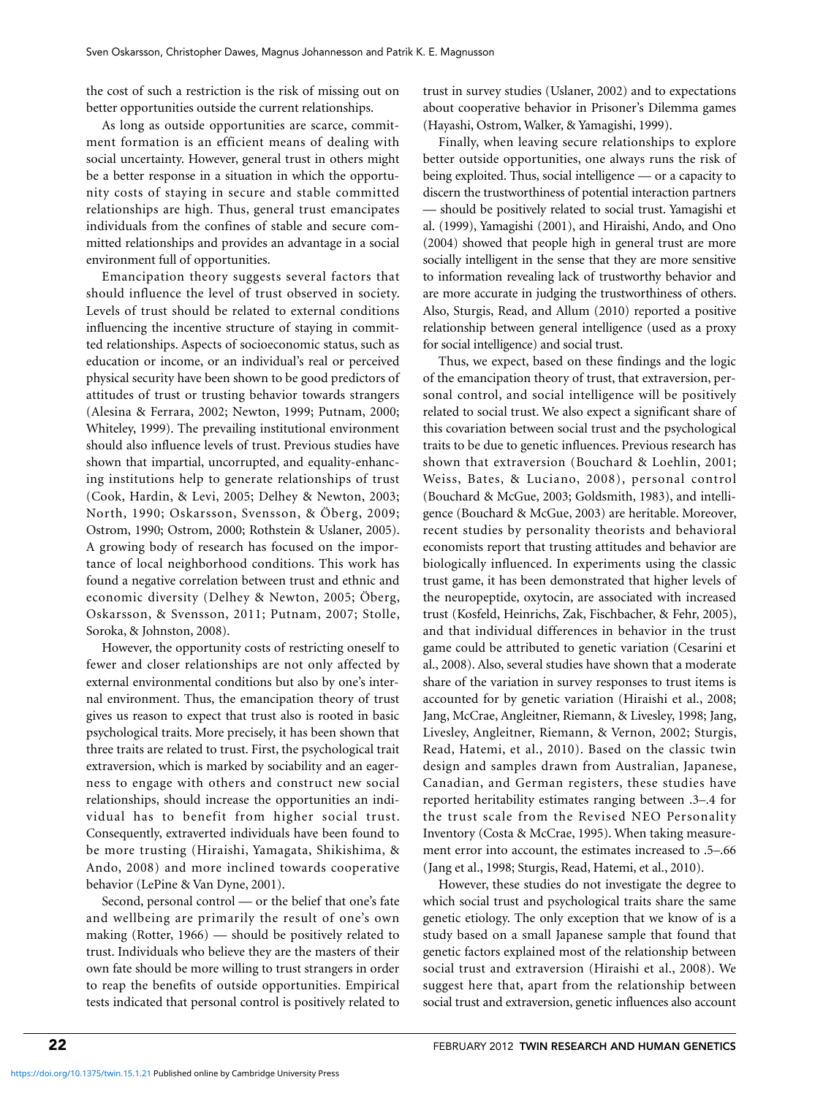the cost of such a restriction is the risk of missing out on better opportunities outside the current relationships.

As long as outside opportunities are scarce, commitment formation is an efficient means of dealing with social uncertainty. However, general trust in others might be a better response in a situation in which the opportunity costs of staying in secure and stable committed relationships are high. Thus, general trust emancipates individuals from the confines of stable and secure committed relationships and provides an advantage in a social environment full of opportunities.

Emancipation theory suggests several factors that should influence the level of trust observed in society. Levels of trust should be related to external conditions influencing the incentive structure of staying in committed relationships. Aspects of socioeconomic status, such as education or income, or an individual's real or perceived physical security have been shown to be good predictors of attitudes of trust or trusting behavior towards strangers (Alesina & Ferrara, 2002; Newton, 1999; Putnam, 2000; Whiteley, 1999). The prevailing institutional environment should also influence levels of trust. Previous studies have shown that impartial, uncorrupted, and equality-enhancing institutions help to generate relationships of trust (Cook, Hardin, & Levi, 2005; Delhey & Newton, 2003; North, 1990; Oskarsson, Svensson, & Öberg, 2009; Ostrom, 1990; Ostrom, 2000; Rothstein & Uslaner, 2005). A growing body of research has focused on the importance of local neighborhood conditions. This work has found a negative correlation between trust and ethnic and economic diversity (Delhey & Newton, 2005; Öberg, Oskarsson, & Svensson, 2011; Putnam, 2007; Stolle, Soroka, & Johnston, 2008).

However, the opportunity costs of restricting oneself to fewer and closer relationships are not only affected by external environmental conditions but also by one's internal environment. Thus, the emancipation theory of trust gives us reason to expect that trust also is rooted in basic psychological traits. More precisely, it has been shown that three traits are related to trust. First, the psychological trait extraversion, which is marked by sociability and an eagerness to engage with others and construct new social relationships, should increase the opportunities an individual has to benefit from higher social trust. Consequently, extraverted individuals have been found to be more trusting (Hiraishi, Yamagata, Shikishima, & Ando, 2008) and more inclined towards cooperative behavior (LePine & Van Dyne, 2001).

Second, personal control — or the belief that one's fate and wellbeing are primarily the result of one's own making (Rotter, 1966) — should be positively related to trust. Individuals who believe they are the masters of their own fate should be more willing to trust strangers in order to reap the benefits of outside opportunities. Empirical tests indicated that personal control is positively related to trust in survey studies (Uslaner, 2002) and to expectations about cooperative behavior in Prisoner's Dilemma games (Hayashi, Ostrom, Walker, & Yamagishi, 1999).

Finally, when leaving secure relationships to explore better outside opportunities, one always runs the risk of being exploited. Thus, social intelligence — or a capacity to discern the trustworthiness of potential interaction partners — should be positively related to social trust. Yamagishi et al. (1999), Yamagishi (2001), and Hiraishi, Ando, and Ono (2004) showed that people high in general trust are more socially intelligent in the sense that they are more sensitive to information revealing lack of trustworthy behavior and are more accurate in judging the trustworthiness of others. Also, Sturgis, Read, and Allum (2010) reported a positive relationship between general intelligence (used as a proxy for social intelligence) and social trust.

Thus, we expect, based on these findings and the logic of the emancipation theory of trust, that extraversion, personal control, and social intelligence will be positively related to social trust. We also expect a significant share of this covariation between social trust and the psychological traits to be due to genetic influences. Previous research has shown that extraversion (Bouchard & Loehlin, 2001; Weiss, Bates, & Luciano, 2008), personal control (Bouchard & McGue, 2003; Goldsmith, 1983), and intelligence (Bouchard & McGue, 2003) are heritable. Moreover, recent studies by personality theorists and behavioral economists report that trusting attitudes and behavior are biologically influenced. In experiments using the classic trust game, it has been demonstrated that higher levels of the neuropeptide, oxytocin, are associated with increased trust (Kosfeld, Heinrichs, Zak, Fischbacher, & Fehr, 2005), and that individual differences in behavior in the trust game could be attributed to genetic variation (Cesarini et al., 2008). Also, several studies have shown that a moderate share of the variation in survey responses to trust items is accounted for by genetic variation (Hiraishi et al., 2008; Jang, McCrae, Angleitner, Riemann, & Livesley, 1998; Jang, Livesley, Angleitner, Riemann, & Vernon, 2002; Sturgis, Read, Hatemi, et al., 2010). Based on the classic twin design and samples drawn from Australian, Japanese, Canadian, and German registers, these studies have reported heritability estimates ranging between .3–.4 for the trust scale from the Revised NEO Personality Inventory (Costa & McCrae, 1995). When taking measurement error into account, the estimates increased to .5–.66 (Jang et al., 1998; Sturgis, Read, Hatemi, et al., 2010).

However, these studies do not investigate the degree to which social trust and psychological traits share the same genetic etiology. The only exception that we know of is a study based on a small Japanese sample that found that genetic factors explained most of the relationship between social trust and extraversion (Hiraishi et al., 2008). We suggest here that, apart from the relationship between social trust and extraversion, genetic influences also account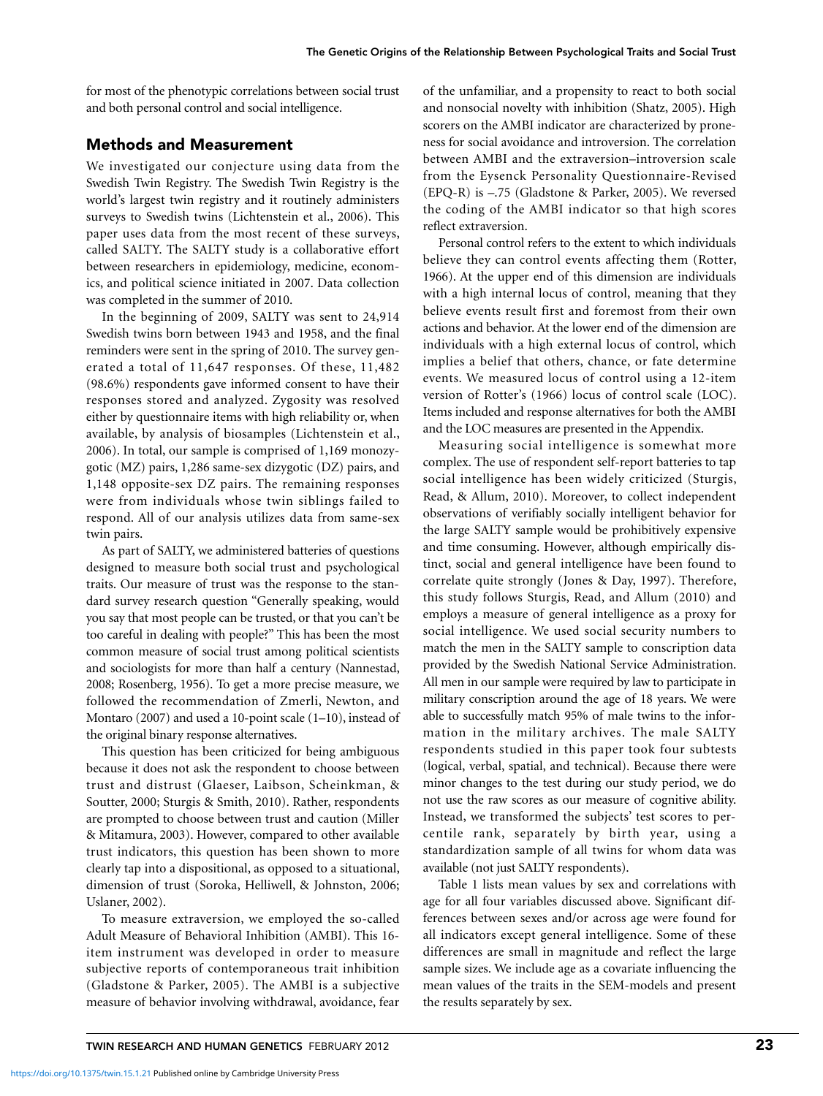for most of the phenotypic correlations between social trust and both personal control and social intelligence.

# Methods and Measurement

We investigated our conjecture using data from the Swedish Twin Registry. The Swedish Twin Registry is the world's largest twin registry and it routinely administers surveys to Swedish twins (Lichtenstein et al., 2006). This paper uses data from the most recent of these surveys, called SALTY. The SALTY study is a collaborative effort between researchers in epidemiology, medicine, economics, and political science initiated in 2007. Data collection was completed in the summer of 2010.

In the beginning of 2009, SALTY was sent to 24,914 Swedish twins born between 1943 and 1958, and the final reminders were sent in the spring of 2010. The survey generated a total of 11,647 responses. Of these, 11,482 (98.6%) respondents gave informed consent to have their responses stored and analyzed. Zygosity was resolved either by questionnaire items with high reliability or, when available, by analysis of biosamples (Lichtenstein et al., 2006). In total, our sample is comprised of 1,169 monozygotic (MZ) pairs, 1,286 same-sex dizygotic (DZ) pairs, and 1,148 opposite-sex DZ pairs. The remaining responses were from individuals whose twin siblings failed to respond. All of our analysis utilizes data from same-sex twin pairs.

As part of SALTY, we administered batteries of questions designed to measure both social trust and psychological traits. Our measure of trust was the response to the standard survey research question "Generally speaking, would you say that most people can be trusted, or that you can't be too careful in dealing with people?" This has been the most common measure of social trust among political scientists and sociologists for more than half a century (Nannestad, 2008; Rosenberg, 1956). To get a more precise measure, we followed the recommendation of Zmerli, Newton, and Montaro (2007) and used a 10-point scale (1–10), instead of the original binary response alternatives.

This question has been criticized for being ambiguous because it does not ask the respondent to choose between trust and distrust (Glaeser, Laibson, Scheinkman, & Soutter, 2000; Sturgis & Smith, 2010). Rather, respondents are prompted to choose between trust and caution (Miller & Mitamura, 2003). However, compared to other available trust indicators, this question has been shown to more clearly tap into a dispositional, as opposed to a situational, dimension of trust (Soroka, Helliwell, & Johnston, 2006; Uslaner, 2002).

To measure extraversion, we employed the so-called Adult Measure of Behavioral Inhibition (AMBI). This 16 item instrument was developed in order to measure subjective reports of contemporaneous trait inhibition (Gladstone & Parker, 2005). The AMBI is a subjective measure of behavior involving withdrawal, avoidance, fear of the unfamiliar, and a propensity to react to both social and nonsocial novelty with inhibition (Shatz, 2005). High scorers on the AMBI indicator are characterized by proneness for social avoidance and introversion. The correlation between AMBI and the extraversion–introversion scale from the Eysenck Personality Questionnaire-Revised (EPQ-R) is –.75 (Gladstone & Parker, 2005). We reversed the coding of the AMBI indicator so that high scores reflect extraversion.

Personal control refers to the extent to which individuals believe they can control events affecting them (Rotter, 1966). At the upper end of this dimension are individuals with a high internal locus of control, meaning that they believe events result first and foremost from their own actions and behavior. At the lower end of the dimension are individuals with a high external locus of control, which implies a belief that others, chance, or fate determine events. We measured locus of control using a 12-item version of Rotter's (1966) locus of control scale (LOC). Items included and response alternatives for both the AMBI and the LOC measures are presented in the Appendix.

Measuring social intelligence is somewhat more complex. The use of respondent self-report batteries to tap social intelligence has been widely criticized (Sturgis, Read, & Allum, 2010). Moreover, to collect independent observations of verifiably socially intelligent behavior for the large SALTY sample would be prohibitively expensive and time consuming. However, although empirically distinct, social and general intelligence have been found to correlate quite strongly (Jones & Day, 1997). Therefore, this study follows Sturgis, Read, and Allum (2010) and employs a measure of general intelligence as a proxy for social intelligence. We used social security numbers to match the men in the SALTY sample to conscription data provided by the Swedish National Service Administration. All men in our sample were required by law to participate in military conscription around the age of 18 years. We were able to successfully match 95% of male twins to the information in the military archives. The male SALTY respondents studied in this paper took four subtests (logical, verbal, spatial, and technical). Because there were minor changes to the test during our study period, we do not use the raw scores as our measure of cognitive ability. Instead, we transformed the subjects' test scores to percentile rank, separately by birth year, using a standardization sample of all twins for whom data was available (not just SALTY respondents).

Table 1 lists mean values by sex and correlations with age for all four variables discussed above. Significant differences between sexes and/or across age were found for all indicators except general intelligence. Some of these differences are small in magnitude and reflect the large sample sizes. We include age as a covariate influencing the mean values of the traits in the SEM-models and present the results separately by sex.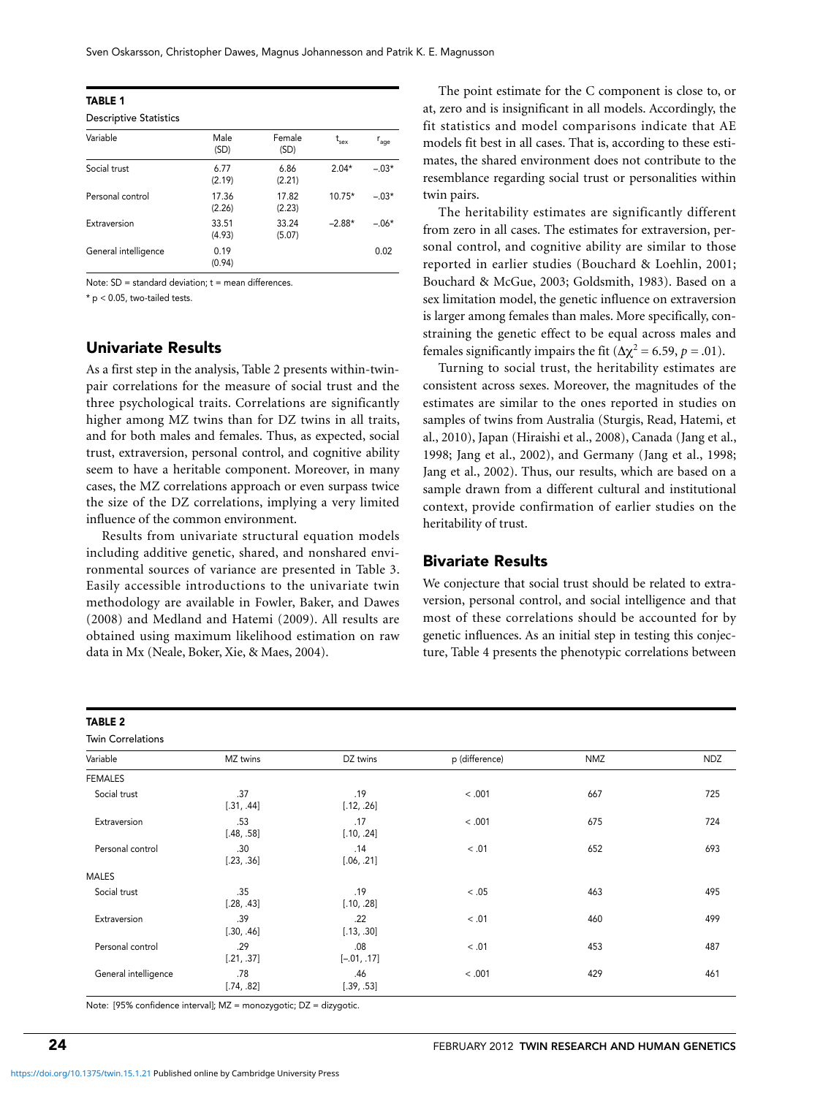| <b>TABLE 1</b>                |  |
|-------------------------------|--|
| <b>Descriptive Statistics</b> |  |

| $-0.00$ $-0.00$ $-0.00$ |                 |                 |                             |          |
|-------------------------|-----------------|-----------------|-----------------------------|----------|
| Variable                | Male<br>(SD)    | Female<br>(SD)  | $\mathsf{t}_{\mathsf{sex}}$ | r<br>age |
| Social trust            | 6.77<br>(2.19)  | 6.86<br>(2.21)  | $2.04*$                     | $-.03*$  |
| Personal control        | 17.36<br>(2.26) | 17.82<br>(2.23) | $10.75*$                    | $-.03*$  |
| Extraversion            | 33.51<br>(4.93) | 33.24<br>(5.07) | $-2.88*$                    | $-.06*$  |
| General intelligence    | 0.19<br>(0.94)  |                 |                             | 0.02     |

Note:  $SD =$  standard deviation;  $t =$  mean differences.

 $*$  p < 0.05, two-tailed tests.

## Univariate Results

As a first step in the analysis, Table 2 presents within-twinpair correlations for the measure of social trust and the three psychological traits. Correlations are significantly higher among MZ twins than for DZ twins in all traits, and for both males and females. Thus, as expected, social trust, extraversion, personal control, and cognitive ability seem to have a heritable component. Moreover, in many cases, the MZ correlations approach or even surpass twice the size of the DZ correlations, implying a very limited influence of the common environment.

Results from univariate structural equation models including additive genetic, shared, and nonshared environmental sources of variance are presented in Table 3. Easily accessible introductions to the univariate twin methodology are available in Fowler, Baker, and Dawes (2008) and Medland and Hatemi (2009). All results are obtained using maximum likelihood estimation on raw data in Mx (Neale, Boker, Xie, & Maes, 2004).

The point estimate for the C component is close to, or at, zero and is insignificant in all models. Accordingly, the fit statistics and model comparisons indicate that AE models fit best in all cases. That is, according to these estimates, the shared environment does not contribute to the resemblance regarding social trust or personalities within twin pairs.

The heritability estimates are significantly different from zero in all cases. The estimates for extraversion, personal control, and cognitive ability are similar to those reported in earlier studies (Bouchard & Loehlin, 2001; Bouchard & McGue, 2003; Goldsmith, 1983). Based on a sex limitation model, the genetic influence on extraversion is larger among females than males. More specifically, constraining the genetic effect to be equal across males and females significantly impairs the fit ( $\Delta \chi^2 = 6.59$ ,  $p = .01$ ).

Turning to social trust, the heritability estimates are consistent across sexes. Moreover, the magnitudes of the estimates are similar to the ones reported in studies on samples of twins from Australia (Sturgis, Read, Hatemi, et al., 2010), Japan (Hiraishi et al., 2008), Canada (Jang et al., 1998; Jang et al., 2002), and Germany (Jang et al., 1998; Jang et al., 2002). Thus, our results, which are based on a sample drawn from a different cultural and institutional context, provide confirmation of earlier studies on the heritability of trust.

## Bivariate Results

We conjecture that social trust should be related to extraversion, personal control, and social intelligence and that most of these correlations should be accounted for by genetic influences. As an initial step in testing this conjecture, Table 4 presents the phenotypic correlations between

| .                        |                   |                      |                |            |            |
|--------------------------|-------------------|----------------------|----------------|------------|------------|
| <b>Twin Correlations</b> |                   |                      |                |            |            |
| Variable                 | MZ twins          | DZ twins             | p (difference) | <b>NMZ</b> | <b>NDZ</b> |
| <b>FEMALES</b>           |                   |                      |                |            |            |
| Social trust             | .37<br>[.31, .44] | .19<br>[.12, .26]    | < .001         | 667        | 725        |
| Extraversion             | .53<br>[.48, .58] | .17<br>[.10, .24]    | < .001         | 675        | 724        |
| Personal control         | .30<br>[.23, .36] | .14<br>[.06, .21]    | < .01          | 652        | 693        |
| <b>MALES</b>             |                   |                      |                |            |            |
| Social trust             | .35<br>[.28, .43] | .19<br>[.10, .28]    | < .05          | 463        | 495        |
| Extraversion             | .39<br>[.30, .46] | .22<br>[.13, .30]    | $<.01$         | 460        | 499        |
| Personal control         | .29<br>[.21, .37] | .08<br>$[-.01, .17]$ | $<.01$         | 453        | 487        |
| General intelligence     | .78<br>[.74, .82] | .46<br>[.39, .53]    | < .001         | 429        | 461        |

Note: [95% confidence interval]; MZ = monozygotic; DZ = dizygotic.

TARI F 2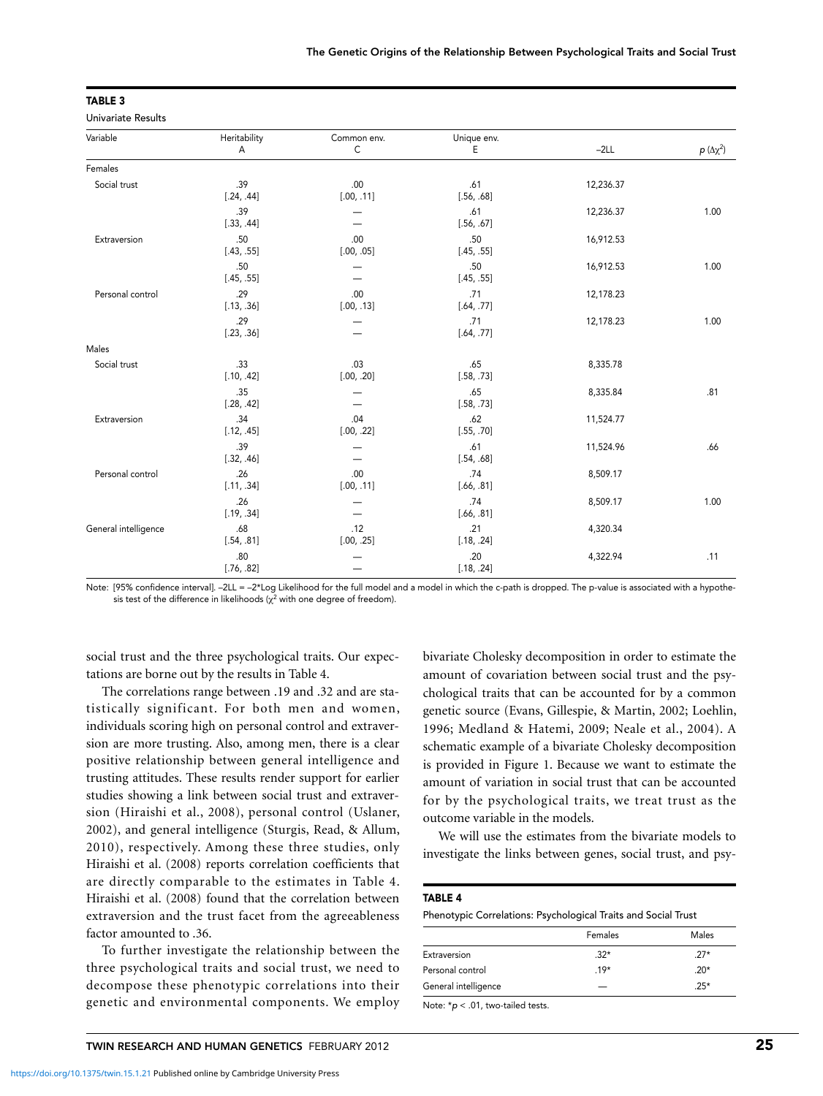| Univariate Results   |                   |                               |                   |           |                    |
|----------------------|-------------------|-------------------------------|-------------------|-----------|--------------------|
| Variable             | Heritability      | Common env.                   | Unique env.       |           |                    |
|                      | A                 | $\mathsf C$                   | Ε                 | $-2LL$    | $p(\Delta \chi^2)$ |
| Females              |                   |                               |                   |           |                    |
| Social trust         | .39<br>[.24, .44] | .00.<br>[.00, .11]            | .61<br>[.56, .68] | 12,236.37 |                    |
|                      | .39<br>[.33, .44] | —                             | .61<br>[.56, .67] | 12,236.37 | 1.00               |
| Extraversion         | .50<br>[.43, .55] | .00<br>[.00, .05]             | .50<br>[.45, .55] | 16,912.53 |                    |
|                      | .50<br>[.45, .55] | —                             | .50<br>[.45, .55] | 16,912.53 | 1.00               |
| Personal control     | .29<br>[.13, .36] | .00<br>[.00, .13]             | .71<br>[.64, .77] | 12,178.23 |                    |
|                      | .29<br>[.23, .36] |                               | .71<br>[.64, .77] | 12,178.23 | 1.00               |
| Males                |                   |                               |                   |           |                    |
| Social trust         | .33<br>[.10, .42] | .03<br>[.00, .20]             | .65<br>[.58, .73] | 8,335.78  |                    |
|                      | .35<br>[.28, .42] |                               | .65<br>[.58, .73] | 8,335.84  | .81                |
| Extraversion         | .34<br>[.12, .45] | .04<br>[.00, .22]             | .62<br>[.55, .70] | 11,524.77 |                    |
|                      | .39<br>[.32, .46] |                               | .61<br>[.54, .68] | 11,524.96 | .66                |
| Personal control     | .26<br>[.11, .34] | .00<br>[.00, .11]             | .74<br>[.66, .81] | 8,509.17  |                    |
|                      | .26<br>[.19, .34] | —<br>$\overline{\phantom{0}}$ | .74<br>[.66, .81] | 8,509.17  | 1.00               |
| General intelligence | .68<br>[.54, .81] | .12<br>[.00, .25]             | .21<br>[.18, .24] | 4,320.34  |                    |
|                      | .80<br>[.76, .82] |                               | .20<br>[.18, .24] | 4,322.94  | .11                |

### TABLE 3

Univariate Results

Note: [95% confidence interval]. -2LL = -2\*Log Likelihood for the full model and a model in which the c-path is dropped. The p-value is associated with a hypothesis test of the difference in likelihoods ( $\chi^2$  with one degree of freedom).

social trust and the three psychological traits. Our expectations are borne out by the results in Table 4.

The correlations range between .19 and .32 and are statistically significant. For both men and women, individuals scoring high on personal control and extraversion are more trusting. Also, among men, there is a clear positive relationship between general intelligence and trusting attitudes. These results render support for earlier studies showing a link between social trust and extraversion (Hiraishi et al., 2008), personal control (Uslaner, 2002), and general intelligence (Sturgis, Read, & Allum, 2010), respectively. Among these three studies, only Hiraishi et al. (2008) reports correlation coefficients that are directly comparable to the estimates in Table 4. Hiraishi et al. (2008) found that the correlation between extraversion and the trust facet from the agreeableness factor amounted to .36.

To further investigate the relationship between the three psychological traits and social trust, we need to decompose these phenotypic correlations into their genetic and environmental components. We employ bivariate Cholesky decomposition in order to estimate the amount of covariation between social trust and the psychological traits that can be accounted for by a common genetic source (Evans, Gillespie, & Martin, 2002; Loehlin, 1996; Medland & Hatemi, 2009; Neale et al., 2004). A schematic example of a bivariate Cholesky decomposition is provided in Figure 1. Because we want to estimate the amount of variation in social trust that can be accounted for by the psychological traits, we treat trust as the outcome variable in the models.

We will use the estimates from the bivariate models to investigate the links between genes, social trust, and psy-

#### TABLE 4

Phenotypic Correlations: Psychological Traits and Social Trust

|                      | Females | Males  |
|----------------------|---------|--------|
| Extraversion         | $.32*$  | $.27*$ |
| Personal control     | $.19*$  | $.20*$ |
| General intelligence |         | $.25*$ |

Note: \*p < .01, two-tailed tests.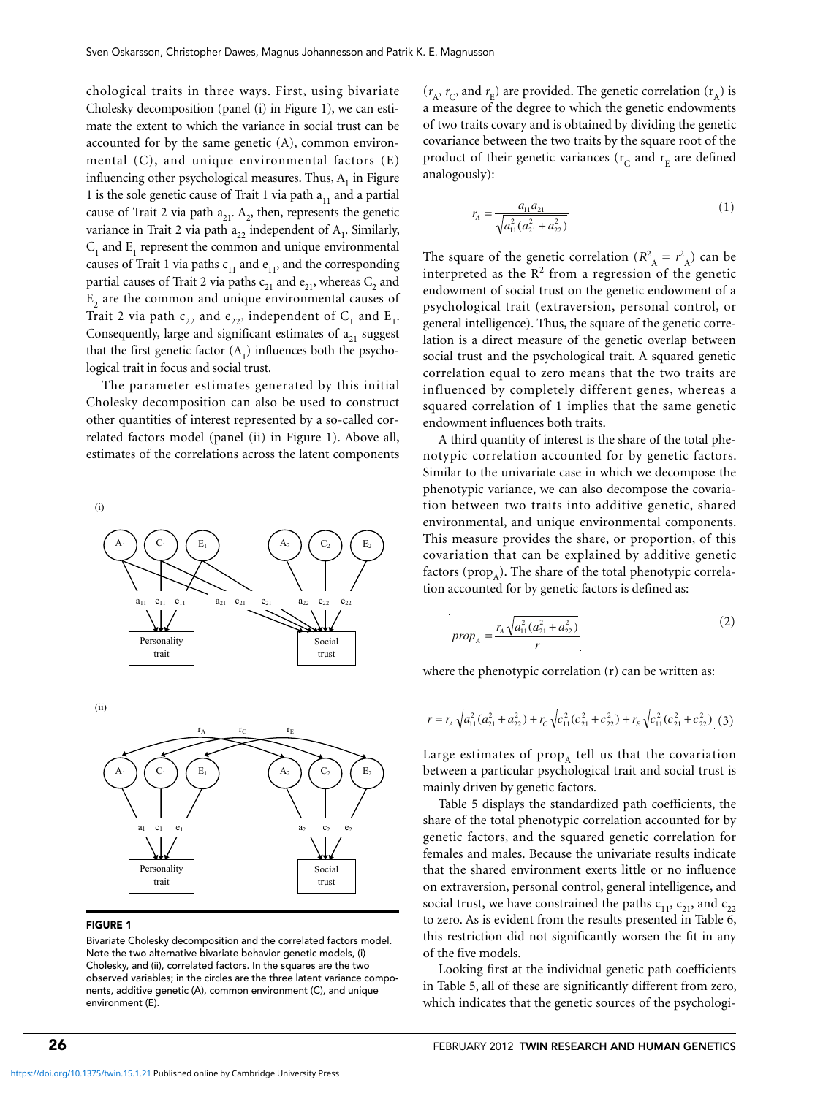chological traits in three ways. First, using bivariate Cholesky decomposition (panel (i) in Figure 1), we can estimate the extent to which the variance in social trust can be accounted for by the same genetic (A), common environmental (C), and unique environmental factors (E) influencing other psychological measures. Thus,  $A_1$  in Figure 1 is the sole genetic cause of Trait 1 via path  $a_{11}$  and a partial cause of Trait 2 via path  $a_{21}$ .  $A_2$ , then, represents the genetic variance in Trait 2 via path  $a_{22}$  independent of  $A_1$ . Similarly,  $C_1$  and  $E_1$  represent the common and unique environmental causes of Trait 1 via paths  $c_{11}$  and  $e_{11}$ , and the corresponding partial causes of Trait 2 via paths  $c_{21}$  and  $e_{21}$ , whereas  $C_2$  and  $E<sub>2</sub>$  are the common and unique environmental causes of Trait 2 via path  $c_{22}$  and  $e_{22}$ , independent of  $C_1$  and  $E_1$ . Consequently, large and significant estimates of  $a_{21}$  suggest that the first genetic factor  $(A_1)$  influences both the psychological trait in focus and social trust.

The parameter estimates generated by this initial Cholesky decomposition can also be used to construct other quantities of interest represented by a so-called correlated factors model (panel (ii) in Figure 1). Above all, estimates of the correlations across the latent components

(i)



#### FIGURE 1

Bivariate Cholesky decomposition and the correlated factors model. Note the two alternative bivariate behavior genetic models, (i) Cholesky, and (ii), correlated factors. In the squares are the two observed variables; in the circles are the three latent variance components, additive genetic (A), common environment (C), and unique environment (E).

 $(r_A, r_C,$  and  $r_E$ ) are provided. The genetic correlation  $(r_A)$  is a measure of the degree to which the genetic endowments of two traits covary and is obtained by dividing the genetic covariance between the two traits by the square root of the product of their genetic variances ( $r_c$  and  $r_E$  are defined analogously):

$$
r_{A} = \frac{a_{11}a_{21}}{\sqrt{a_{11}^{2}(a_{21}^{2} + a_{22}^{2})}}
$$
 (1)

The square of the genetic correlation ( $R_A^2 = r_A^2$ ) can be interpreted as the  $R^2$  from a regression of the genetic endowment of social trust on the genetic endowment of a psychological trait (extraversion, personal control, or general intelligence). Thus, the square of the genetic correlation is a direct measure of the genetic overlap between social trust and the psychological trait. A squared genetic correlation equal to zero means that the two traits are influenced by completely different genes, whereas a squared correlation of 1 implies that the same genetic endowment influences both traits.

A third quantity of interest is the share of the total phenotypic correlation accounted for by genetic factors. Similar to the univariate case in which we decompose the phenotypic variance, we can also decompose the covariation between two traits into additive genetic, shared environmental, and unique environmental components. This measure provides the share, or proportion, of this covariation that can be explained by additive genetic factors ( $prop_A$ ). The share of the total phenotypic correlation accounted for by genetic factors is defined as:

$$
prop_A = \frac{r_A \sqrt{a_{11}^2(a_{21}^2 + a_{22}^2)}}{r}
$$
 (2)

where the phenotypic correlation  $(r)$  can be written as:

$$
r = r_A \sqrt{a_{11}^2(a_{21}^2 + a_{22}^2)} + r_C \sqrt{c_{11}^2(c_{21}^2 + c_{22}^2)} + r_E \sqrt{c_{11}^2(c_{21}^2 + c_{22}^2)} \tag{3}
$$

Large estimates of  $prop_A$  tell us that the covariation between a particular psychological trait and social trust is mainly driven by genetic factors.

Table 5 displays the standardized path coefficients, the share of the total phenotypic correlation accounted for by genetic factors, and the squared genetic correlation for females and males. Because the univariate results indicate that the shared environment exerts little or no influence on extraversion, personal control, general intelligence, and social trust, we have constrained the paths  $c_{11}$ ,  $c_{21}$ , and  $c_{22}$ to zero. As is evident from the results presented in Table 6, this restriction did not significantly worsen the fit in any of the five models.

Looking first at the individual genetic path coefficients in Table 5, all of these are significantly different from zero, which indicates that the genetic sources of the psychologi-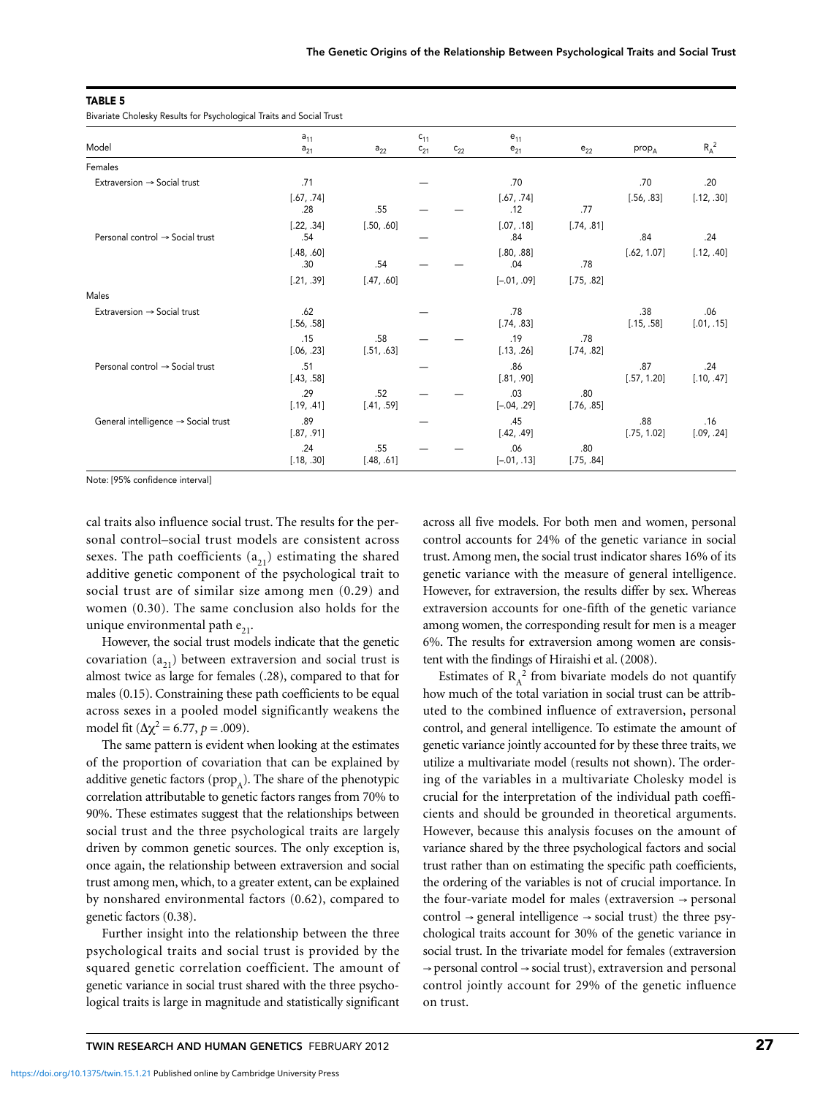#### TABLE 5

Bivariate Cholesky Results for Psychological Traits and Social Trust

| Model                               | $a_{11}$   |            | $c_{11}$ |          | $e_{11}$      |            |             | $R_A^2$    |
|-------------------------------------|------------|------------|----------|----------|---------------|------------|-------------|------------|
|                                     | $a_{21}$   | $a_{22}$   | $c_{21}$ | $C_{22}$ | $e_{21}$      | $e_{22}$   | $prop_A$    |            |
| Females                             |            |            |          |          |               |            |             |            |
| Extraversion → Social trust         | .71        |            |          |          | .70           |            | .70         | .20        |
|                                     | [.67, .74] |            |          |          | [.67, .74]    |            | [.56, .83]  | [.12, .30] |
|                                     | .28        | .55        |          |          | .12           | .77        |             |            |
|                                     | [.22, .34] | [.50, .60] |          |          | [.07, .18]    | [.74, .81] |             |            |
| Personal control → Social trust     | .54        |            |          |          | .84           |            | .84         | .24        |
|                                     | [.48, .60] |            |          |          | [.80, .88]    |            | [.62, 1.07] | [.12, .40] |
|                                     | .30        | .54        |          |          | .04           | .78        |             |            |
|                                     | [.21, .39] | [.47, .60] |          |          | $[-.01, .09]$ | [.75, .82] |             |            |
| Males                               |            |            |          |          |               |            |             |            |
| Extraversion → Social trust         | .62        |            |          |          | .78           |            | .38         | .06        |
|                                     | [.56, .58] |            |          |          | [.74, .83]    |            | [.15, .58]  | [.01, .15] |
|                                     | .15        | .58        |          |          | .19           | .78        |             |            |
|                                     | [.06, .23] | [.51, .63] |          |          | [.13, .26]    | [.74, .82] |             |            |
| Personal control → Social trust     | .51        |            |          |          | .86           |            | .87         | .24        |
|                                     | [.43, .58] |            |          |          | [.81, .90]    |            | [.57, 1.20] | [.10, .47] |
|                                     | .29        | .52        |          |          | .03           | .80        |             |            |
|                                     | [.19, .41] | [.41, .59] |          |          | $[-.04, .29]$ | [.76, .85] |             |            |
| General intelligence → Social trust | .89        |            |          |          | .45           |            | .88         | .16        |
|                                     | [.87, .91] |            |          |          | [.42, .49]    |            | [.75, 1.02] | [.09, .24] |
|                                     | .24        | .55        |          |          | .06           | .80        |             |            |
|                                     | [.18, .30] | [.48, .61] |          |          | $[-.01, .13]$ | [.75, .84] |             |            |

Note: [95% confidence interval]

cal traits also influence social trust. The results for the personal control–social trust models are consistent across sexes. The path coefficients  $(a_{21})$  estimating the shared additive genetic component of the psychological trait to social trust are of similar size among men (0.29) and women (0.30). The same conclusion also holds for the unique environmental path  $e_{21}$ .

However, the social trust models indicate that the genetic covariation  $(a_{21})$  between extraversion and social trust is almost twice as large for females (.28), compared to that for males (0.15). Constraining these path coefficients to be equal across sexes in a pooled model significantly weakens the model fit ( $\Delta \chi^2 = 6.77$ ,  $p = .009$ ).

The same pattern is evident when looking at the estimates of the proportion of covariation that can be explained by additive genetic factors ( $prop_A$ ). The share of the phenotypic correlation attributable to genetic factors ranges from 70% to 90%. These estimates suggest that the relationships between social trust and the three psychological traits are largely driven by common genetic sources. The only exception is, once again, the relationship between extraversion and social trust among men, which, to a greater extent, can be explained by nonshared environmental factors (0.62), compared to genetic factors (0.38).

Further insight into the relationship between the three psychological traits and social trust is provided by the squared genetic correlation coefficient. The amount of genetic variance in social trust shared with the three psychological traits is large in magnitude and statistically significant across all five models. For both men and women, personal control accounts for 24% of the genetic variance in social trust. Among men, the social trust indicator shares 16% of its genetic variance with the measure of general intelligence. However, for extraversion, the results differ by sex. Whereas extraversion accounts for one-fifth of the genetic variance among women, the corresponding result for men is a meager 6%. The results for extraversion among women are consistent with the findings of Hiraishi et al. (2008).

Estimates of  $R_A^2$  from bivariate models do not quantify how much of the total variation in social trust can be attributed to the combined influence of extraversion, personal control, and general intelligence. To estimate the amount of genetic variance jointly accounted for by these three traits, we utilize a multivariate model (results not shown). The ordering of the variables in a multivariate Cholesky model is crucial for the interpretation of the individual path coefficients and should be grounded in theoretical arguments. However, because this analysis focuses on the amount of variance shared by the three psychological factors and social trust rather than on estimating the specific path coefficients, the ordering of the variables is not of crucial importance. In the four-variate model for males (extraversion  $\rightarrow$  personal control  $\rightarrow$  general intelligence  $\rightarrow$  social trust) the three psychological traits account for 30% of the genetic variance in social trust. In the trivariate model for females (extraversion <sup>→</sup>personal control → social trust), extraversion and personal control jointly account for 29% of the genetic influence on trust.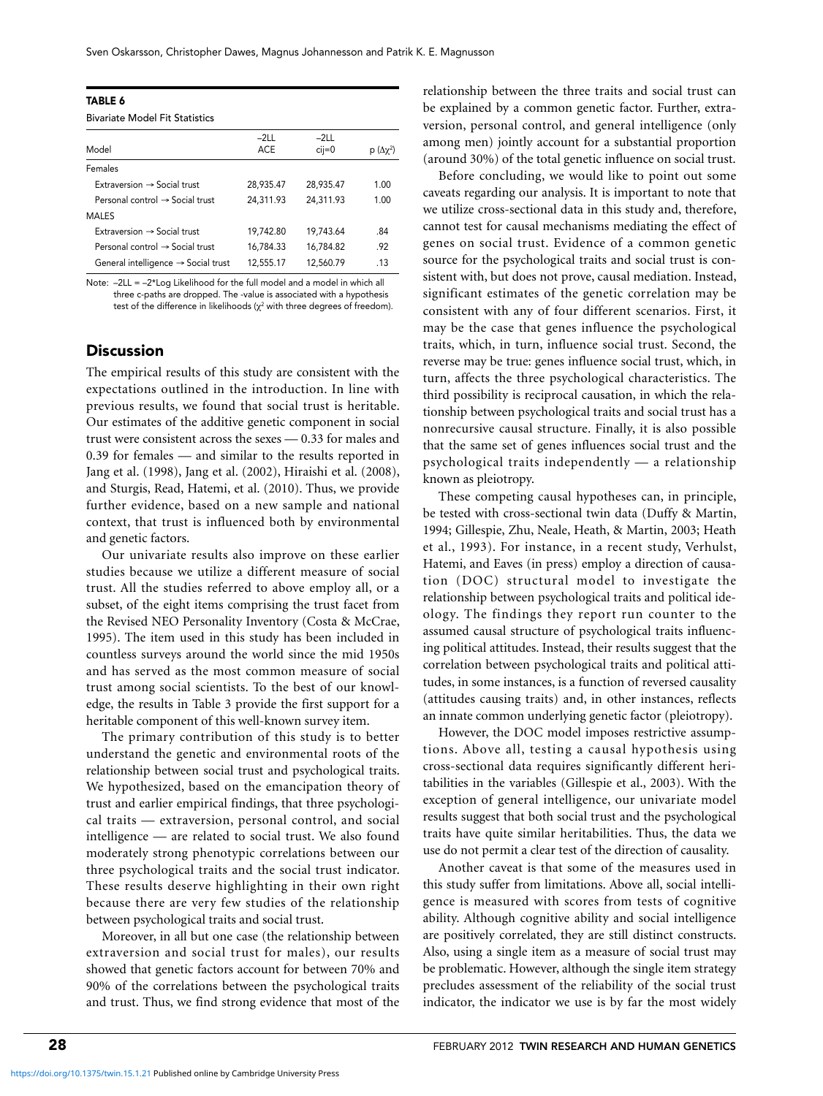| TABLE 6                               |                      |                      |
|---------------------------------------|----------------------|----------------------|
| <b>Bivariate Model Fit Statistics</b> |                      |                      |
|                                       | $\sim$ $\sim$ $\sim$ | $\sim$ $\sim$ $\sim$ |

| Model                                           | -211<br><b>ACE</b> | $-211$<br>$ci = 0$ | $p(\Delta \chi^2)$ |
|-------------------------------------------------|--------------------|--------------------|--------------------|
| Females                                         |                    |                    |                    |
| Extraversion $\rightarrow$ Social trust         | 28,935.47          | 28,935.47          | 1.00               |
| Personal control $\rightarrow$ Social trust     | 24.311.93          | 24.311.93          | 1.00               |
| <b>MALES</b>                                    |                    |                    |                    |
| Extraversion $\rightarrow$ Social trust         | 19.742.80          | 19.743.64          | .84                |
| Personal control $\rightarrow$ Social trust     | 16,784.33          | 16,784.82          | .92                |
| General intelligence $\rightarrow$ Social trust | 12,555.17          | 12,560.79          | .13                |
|                                                 |                    |                    |                    |

Note: –2LL = –2\*Log Likelihood for the full model and a model in which all three c-paths are dropped. The -value is associated with a hypothesis test of the difference in likelihoods ( $\chi^2$  with three degrees of freedom).

# **Discussion**

The empirical results of this study are consistent with the expectations outlined in the introduction. In line with previous results, we found that social trust is heritable. Our estimates of the additive genetic component in social trust were consistent across the sexes — 0.33 for males and 0.39 for females — and similar to the results reported in Jang et al. (1998), Jang et al. (2002), Hiraishi et al. (2008), and Sturgis, Read, Hatemi, et al. (2010). Thus, we provide further evidence, based on a new sample and national context, that trust is influenced both by environmental and genetic factors.

Our univariate results also improve on these earlier studies because we utilize a different measure of social trust. All the studies referred to above employ all, or a subset, of the eight items comprising the trust facet from the Revised NEO Personality Inventory (Costa & McCrae, 1995). The item used in this study has been included in countless surveys around the world since the mid 1950s and has served as the most common measure of social trust among social scientists. To the best of our knowledge, the results in Table 3 provide the first support for a heritable component of this well-known survey item.

The primary contribution of this study is to better understand the genetic and environmental roots of the relationship between social trust and psychological traits. We hypothesized, based on the emancipation theory of trust and earlier empirical findings, that three psychological traits — extraversion, personal control, and social intelligence — are related to social trust. We also found moderately strong phenotypic correlations between our three psychological traits and the social trust indicator. These results deserve highlighting in their own right because there are very few studies of the relationship between psychological traits and social trust.

Moreover, in all but one case (the relationship between extraversion and social trust for males), our results showed that genetic factors account for between 70% and 90% of the correlations between the psychological traits and trust. Thus, we find strong evidence that most of the

relationship between the three traits and social trust can be explained by a common genetic factor. Further, extraversion, personal control, and general intelligence (only among men) jointly account for a substantial proportion (around 30%) of the total genetic influence on social trust.

Before concluding, we would like to point out some caveats regarding our analysis. It is important to note that we utilize cross-sectional data in this study and, therefore, cannot test for causal mechanisms mediating the effect of genes on social trust. Evidence of a common genetic source for the psychological traits and social trust is consistent with, but does not prove, causal mediation. Instead, significant estimates of the genetic correlation may be consistent with any of four different scenarios. First, it may be the case that genes influence the psychological traits, which, in turn, influence social trust. Second, the reverse may be true: genes influence social trust, which, in turn, affects the three psychological characteristics. The third possibility is reciprocal causation, in which the relationship between psychological traits and social trust has a nonrecursive causal structure. Finally, it is also possible that the same set of genes influences social trust and the psychological traits independently — a relationship known as pleiotropy.

These competing causal hypotheses can, in principle, be tested with cross-sectional twin data (Duffy & Martin, 1994; Gillespie, Zhu, Neale, Heath, & Martin, 2003; Heath et al., 1993). For instance, in a recent study, Verhulst, Hatemi, and Eaves (in press) employ a direction of causation (DOC) structural model to investigate the relationship between psychological traits and political ideology. The findings they report run counter to the assumed causal structure of psychological traits influencing political attitudes. Instead, their results suggest that the correlation between psychological traits and political attitudes, in some instances, is a function of reversed causality (attitudes causing traits) and, in other instances, reflects an innate common underlying genetic factor (pleiotropy).

However, the DOC model imposes restrictive assumptions. Above all, testing a causal hypothesis using cross-sectional data requires significantly different heritabilities in the variables (Gillespie et al., 2003). With the exception of general intelligence, our univariate model results suggest that both social trust and the psychological traits have quite similar heritabilities. Thus, the data we use do not permit a clear test of the direction of causality.

Another caveat is that some of the measures used in this study suffer from limitations. Above all, social intelligence is measured with scores from tests of cognitive ability. Although cognitive ability and social intelligence are positively correlated, they are still distinct constructs. Also, using a single item as a measure of social trust may be problematic. However, although the single item strategy precludes assessment of the reliability of the social trust indicator, the indicator we use is by far the most widely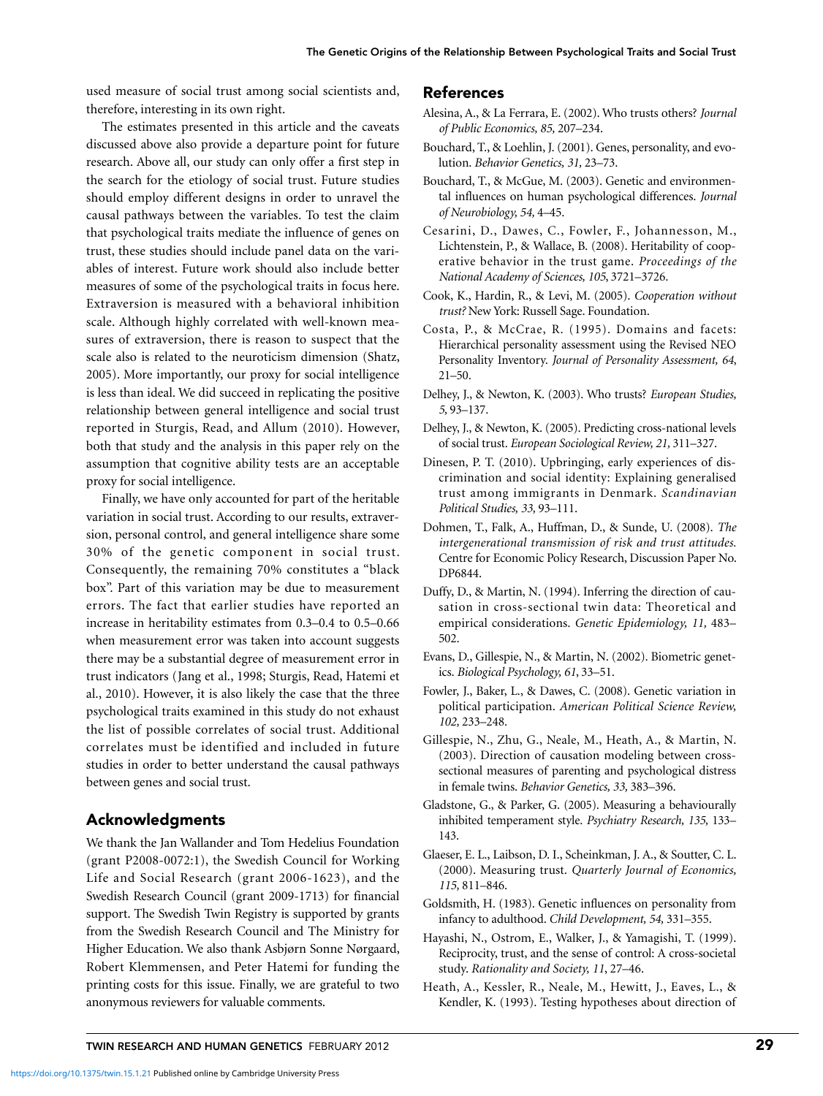used measure of social trust among social scientists and, therefore, interesting in its own right.

The estimates presented in this article and the caveats discussed above also provide a departure point for future research. Above all, our study can only offer a first step in the search for the etiology of social trust. Future studies should employ different designs in order to unravel the causal pathways between the variables. To test the claim that psychological traits mediate the influence of genes on trust, these studies should include panel data on the variables of interest. Future work should also include better measures of some of the psychological traits in focus here. Extraversion is measured with a behavioral inhibition scale. Although highly correlated with well-known measures of extraversion, there is reason to suspect that the scale also is related to the neuroticism dimension (Shatz, 2005). More importantly, our proxy for social intelligence is less than ideal. We did succeed in replicating the positive relationship between general intelligence and social trust reported in Sturgis, Read, and Allum (2010). However, both that study and the analysis in this paper rely on the assumption that cognitive ability tests are an acceptable proxy for social intelligence.

Finally, we have only accounted for part of the heritable variation in social trust. According to our results, extraversion, personal control, and general intelligence share some 30% of the genetic component in social trust. Consequently, the remaining 70% constitutes a "black box". Part of this variation may be due to measurement errors. The fact that earlier studies have reported an increase in heritability estimates from 0.3–0.4 to 0.5–0.66 when measurement error was taken into account suggests there may be a substantial degree of measurement error in trust indicators (Jang et al., 1998; Sturgis, Read, Hatemi et al., 2010). However, it is also likely the case that the three psychological traits examined in this study do not exhaust the list of possible correlates of social trust. Additional correlates must be identified and included in future studies in order to better understand the causal pathways between genes and social trust.

# Acknowledgments

We thank the Jan Wallander and Tom Hedelius Foundation (grant P2008-0072:1), the Swedish Council for Working Life and Social Research (grant 2006-1623), and the Swedish Research Council (grant 2009-1713) for financial support. The Swedish Twin Registry is supported by grants from the Swedish Research Council and The Ministry for Higher Education. We also thank Asbjørn Sonne Nørgaard, Robert Klemmensen, and Peter Hatemi for funding the printing costs for this issue. Finally, we are grateful to two anonymous reviewers for valuable comments.

#### References

- Alesina, A., & La Ferrara, E. (2002). Who trusts others? *Journal of Public Economics, 85,* 207–234.
- Bouchard, T., & Loehlin, J. (2001). Genes, personality, and evolution. *Behavior Genetics, 31,* 23–73.
- Bouchard, T., & McGue, M. (2003). Genetic and environmental influences on human psychological differences. *Journal of Neurobiology, 54,* 4–45.
- Cesarini, D., Dawes, C., Fowler, F., Johannesson, M., Lichtenstein, P., & Wallace, B. (2008). Heritability of cooperative behavior in the trust game. *Proceedings of the National Academy of Sciences, 105*, 3721–3726.
- Cook, K., Hardin, R., & Levi, M. (2005). *Cooperation without trust?* New York: Russell Sage. Foundation.
- Costa, P., & McCrae, R. (1995). Domains and facets: Hierarchical personality assessment using the Revised NEO Personality Inventory. *Journal of Personality Assessment, 64*, 21–50.
- Delhey, J., & Newton, K. (2003). Who trusts? *European Studies, 5,* 93–137.
- Delhey, J., & Newton, K. (2005). Predicting cross-national levels of social trust. *European Sociological Review, 21,* 311–327.
- Dinesen, P. T. (2010). Upbringing, early experiences of discrimination and social identity: Explaining generalised trust among immigrants in Denmark. *Scandinavian Political Studies, 33,* 93–111.
- Dohmen, T., Falk, A., Huffman, D., & Sunde, U. (2008). *The intergenerational transmission of risk and trust attitudes.* Centre for Economic Policy Research, Discussion Paper No. DP6844.
- Duffy, D., & Martin, N. (1994). Inferring the direction of causation in cross-sectional twin data: Theoretical and empirical considerations. *Genetic Epidemiology, 11,* 483– 502.
- Evans, D., Gillespie, N., & Martin, N. (2002). Biometric genetics. *Biological Psychology, 61*, 33–51.
- Fowler, J., Baker, L., & Dawes, C. (2008). Genetic variation in political participation. *American Political Science Review, 102,* 233–248.
- Gillespie, N., Zhu, G., Neale, M., Heath, A., & Martin, N. (2003). Direction of causation modeling between crosssectional measures of parenting and psychological distress in female twins. *Behavior Genetics, 33,* 383–396.
- Gladstone, G., & Parker, G. (2005). Measuring a behaviourally inhibited temperament style. *Psychiatry Research, 135,* 133– 143.
- Glaeser, E. L., Laibson, D. I., Scheinkman, J. A., & Soutter, C. L. (2000). Measuring trust. *Quarterly Journal of Economics, 115,* 811–846.
- Goldsmith, H. (1983). Genetic influences on personality from infancy to adulthood. *Child Development, 54,* 331–355.
- Hayashi, N., Ostrom, E., Walker, J., & Yamagishi, T. (1999). Reciprocity, trust, and the sense of control: A cross-societal study. *Rationality and Society, 11*, 27–46.
- Heath, A., Kessler, R., Neale, M., Hewitt, J., Eaves, L., & Kendler, K. (1993). Testing hypotheses about direction of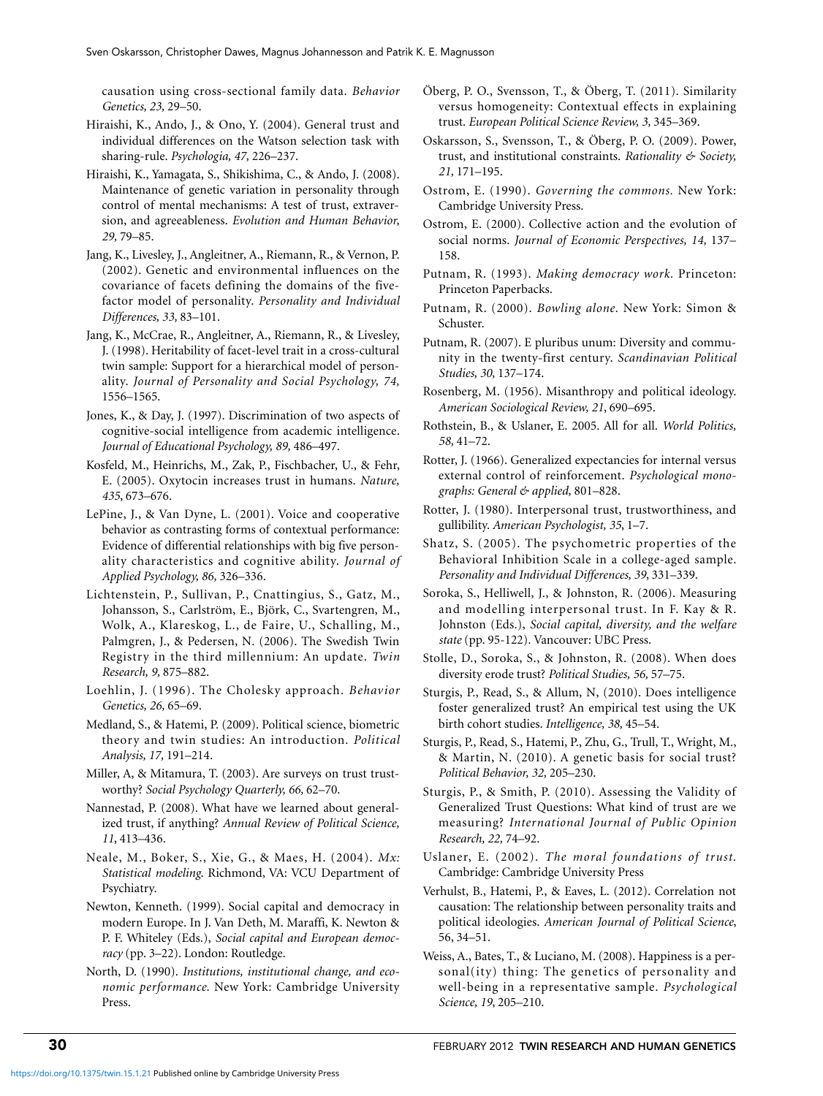causation using cross-sectional family data. *Behavior Genetics, 23,* 29–50.

- Hiraishi, K., Ando, J., & Ono, Y. (2004). General trust and individual differences on the Watson selection task with sharing-rule. *Psychologia, 47,* 226–237.
- Hiraishi, K., Yamagata, S., Shikishima, C., & Ando, J. (2008). Maintenance of genetic variation in personality through control of mental mechanisms: A test of trust, extraversion, and agreeableness. *Evolution and Human Behavior, 29,* 79–85.
- Jang, K., Livesley, J., Angleitner, A., Riemann, R., & Vernon, P. (2002). Genetic and environmental influences on the covariance of facets defining the domains of the fivefactor model of personality. *Personality and Individual Differences, 33,* 83–101.
- Jang, K., McCrae, R., Angleitner, A., Riemann, R., & Livesley, J. (1998). Heritability of facet-level trait in a cross-cultural twin sample: Support for a hierarchical model of personality. *Journal of Personality and Social Psychology, 74,* 1556–1565.
- Jones, K., & Day, J. (1997). Discrimination of two aspects of cognitive-social intelligence from academic intelligence. *Journal of Educational Psychology, 89,* 486–497.
- Kosfeld, M., Heinrichs, M., Zak, P., Fischbacher, U., & Fehr, E. (2005). Oxytocin increases trust in humans. *Nature, 435*, 673–676.
- LePine, J., & Van Dyne, L. (2001). Voice and cooperative behavior as contrasting forms of contextual performance: Evidence of differential relationships with big five personality characteristics and cognitive ability. *Journal of Applied Psychology, 86,* 326–336.
- Lichtenstein, P., Sullivan, P., Cnattingius, S., Gatz, M., Johansson, S., Carlström, E., Björk, C., Svartengren, M., Wolk, A., Klareskog, L., de Faire, U., Schalling, M., Palmgren, J., & Pedersen, N. (2006). The Swedish Twin Registry in the third millennium: An update. *Twin Research, 9,* 875–882.
- Loehlin, J. (1996). The Cholesky approach. *Behavior Genetics, 26,* 65–69.
- Medland, S., & Hatemi, P. (2009). Political science, biometric theory and twin studies: An introduction. *Political Analysis, 17,* 191–214.
- Miller, A, & Mitamura, T. (2003). Are surveys on trust trustworthy? *Social Psychology Quarterly, 66,* 62–70.
- Nannestad, P. (2008). What have we learned about generalized trust, if anything? *Annual Review of Political Science, 11*, 413–436.
- Neale, M., Boker, S., Xie, G., & Maes, H. (2004). *Mx: Statistical modeling*. Richmond, VA: VCU Department of Psychiatry.
- Newton, Kenneth. (1999). Social capital and democracy in modern Europe. In J. Van Deth, M. Maraffi, K. Newton & P. F. Whiteley (Eds.), *Social capital and European democracy* (pp. 3–22). London: Routledge.
- North, D. (1990). *Institutions, institutional change, and economic performance*. New York: Cambridge University Press.
- Öberg, P. O., Svensson, T., & Öberg, T. (2011). Similarity versus homogeneity: Contextual effects in explaining trust. *European Political Science Review, 3,* 345–369.
- Oskarsson, S., Svensson, T., & Öberg, P. O. (2009). Power, trust, and institutional constraints. *Rationality & Society, 21,* 171–195.
- Ostrom, E. (1990). *Governing the commons.* New York: Cambridge University Press.
- Ostrom, E. (2000). Collective action and the evolution of social norms. *Journal of Economic Perspectives, 14,* 137– 158.
- Putnam, R. (1993). *Making democracy work.* Princeton: Princeton Paperbacks.
- Putnam, R. (2000). *Bowling alone.* New York: Simon & Schuster.
- Putnam, R. (2007). E pluribus unum: Diversity and community in the twenty-first century. *Scandinavian Political Studies, 30,* 137–174.
- Rosenberg, M. (1956). Misanthropy and political ideology. *American Sociological Review, 21*, 690–695.
- Rothstein, B., & Uslaner, E. 2005. All for all. *World Politics, 58,* 41–72.
- Rotter, J. (1966). Generalized expectancies for internal versus external control of reinforcement. *Psychological monographs: General & applied,* 801–828.
- Rotter, J. (1980). Interpersonal trust, trustworthiness, and gullibility. *American Psychologist, 35*, 1–7.
- Shatz, S. (2005). The psychometric properties of the Behavioral Inhibition Scale in a college-aged sample. *Personality and Individual Differences, 39*, 331–339.
- Soroka, S., Helliwell, J., & Johnston, R. (2006). Measuring and modelling interpersonal trust. In F. Kay & R. Johnston (Eds.), *Social capital, diversity, and the welfare state* (pp. 95-122)*.* Vancouver: UBC Press.
- Stolle, D., Soroka, S., & Johnston, R. (2008). When does diversity erode trust? *Political Studies, 56,* 57–75.
- Sturgis, P., Read, S., & Allum, N, (2010). Does intelligence foster generalized trust? An empirical test using the UK birth cohort studies. *Intelligence, 38,* 45–54.
- Sturgis, P., Read, S., Hatemi, P., Zhu, G., Trull, T., Wright, M., & Martin, N. (2010). A genetic basis for social trust? *Political Behavior, 32,* 205–230.
- Sturgis, P., & Smith, P. (2010). Assessing the Validity of Generalized Trust Questions: What kind of trust are we measuring? *International Journal of Public Opinion Research, 22,* 74–92.
- Uslaner, E. (2002). *The moral foundations of trust.* Cambridge: Cambridge University Press
- Verhulst, B., Hatemi, P., & Eaves, L. (2012). Correlation not causation: The relationship between personality traits and political ideologies. *American Journal of Political Science*, 56, 34–51.
- Weiss, A., Bates, T., & Luciano, M. (2008). Happiness is a personal(ity) thing: The genetics of personality and well-being in a representative sample. *Psychological Science, 19*, 205–210.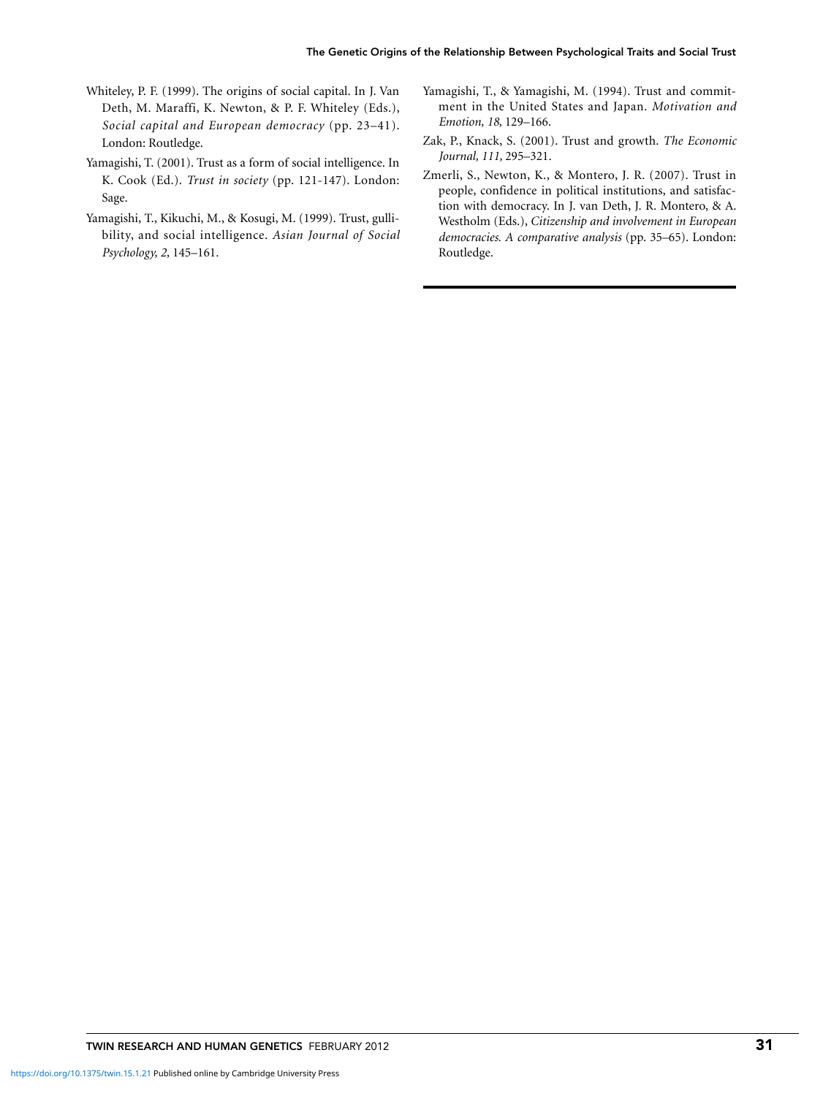- Whiteley, P. F. (1999). The origins of social capital. In J. Van Deth, M. Maraffi, K. Newton, & P. F. Whiteley (Eds.), *Social capital and European democracy* (pp. 23–41). London: Routledge.
- Yamagishi, T. (2001). Trust as a form of social intelligence. In K. Cook (Ed.). *Trust in society* (pp. 121-147). London: Sage.
- Yamagishi, T., Kikuchi, M., & Kosugi, M. (1999). Trust, gullibility, and social intelligence. *Asian Journal of Social Psychology, 2,* 145–161.
- Yamagishi, T., & Yamagishi, M. (1994). Trust and commitment in the United States and Japan. *Motivation and Emotion, 18,* 129–166.
- Zak, P., Knack, S. (2001). Trust and growth. *The Economic Journal, 111,* 295–321.
- Zmerli, S., Newton, K., & Montero, J. R. (2007). Trust in people, confidence in political institutions, and satisfaction with democracy. In J. van Deth, J. R. Montero, & A. Westholm (Eds.), *Citizenship and involvement in European democracies. A comparative analysis* (pp. 35–65). London: Routledge.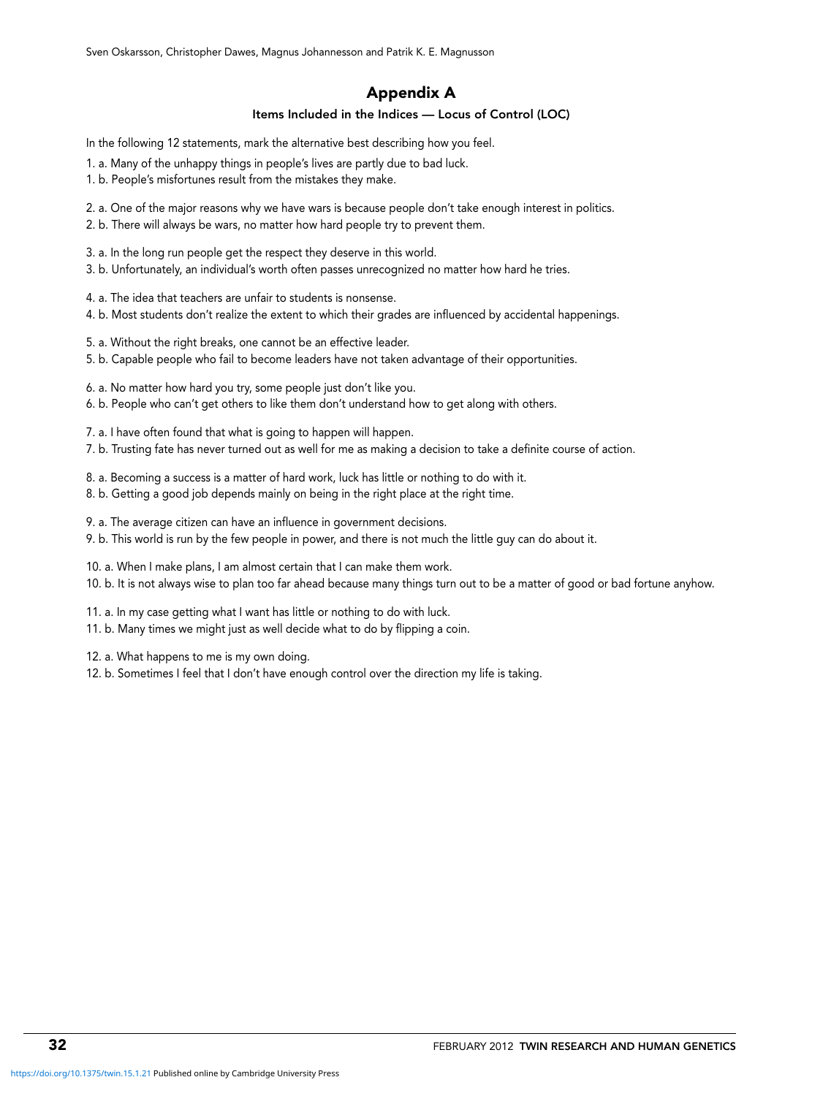# Appendix A

#### Items Included in the Indices — Locus of Control (LOC)

In the following 12 statements, mark the alternative best describing how you feel.

- 1. a. Many of the unhappy things in people's lives are partly due to bad luck.
- 1. b. People's misfortunes result from the mistakes they make.

2. a. One of the major reasons why we have wars is because people don't take enough interest in politics.

- 2. b. There will always be wars, no matter how hard people try to prevent them.
- 3. a. In the long run people get the respect they deserve in this world.
- 3. b. Unfortunately, an individual's worth often passes unrecognized no matter how hard he tries.

4. a. The idea that teachers are unfair to students is nonsense.

4. b. Most students don't realize the extent to which their grades are influenced by accidental happenings.

5. a. Without the right breaks, one cannot be an effective leader.

5. b. Capable people who fail to become leaders have not taken advantage of their opportunities.

6. a. No matter how hard you try, some people just don't like you.

6. b. People who can't get others to like them don't understand how to get along with others.

7. a. I have often found that what is going to happen will happen.

7. b. Trusting fate has never turned out as well for me as making a decision to take a definite course of action.

8. a. Becoming a success is a matter of hard work, luck has little or nothing to do with it.

8. b. Getting a good job depends mainly on being in the right place at the right time.

9. a. The average citizen can have an influence in government decisions.

9. b. This world is run by the few people in power, and there is not much the little guy can do about it.

10. a. When I make plans, I am almost certain that I can make them work.

10. b. It is not always wise to plan too far ahead because many things turn out to be a matter of good or bad fortune anyhow.

11. a. In my case getting what I want has little or nothing to do with luck.

11. b. Many times we might just as well decide what to do by flipping a coin.

12. a. What happens to me is my own doing.

12. b. Sometimes I feel that I don't have enough control over the direction my life is taking.